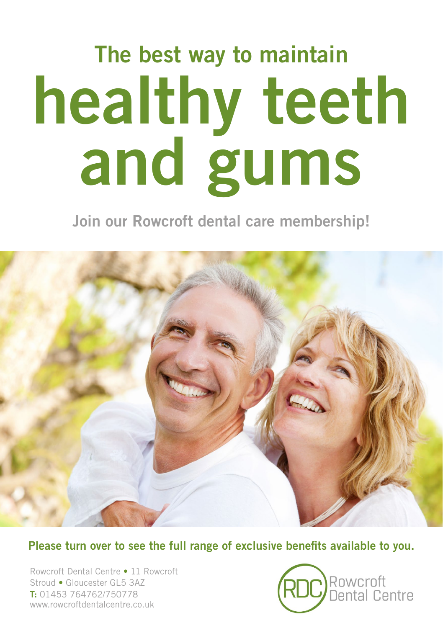# The best way to maintain healthy teeth and gums

Join our Rowcroft dental care membership!



Please turn over to see the full range of exclusive benefits available to you.

Rowcroft Dental Centre • 11 Rowcroft Stroud • Gloucester GL5 3AZ T: 01453 764762/750778 www.rowcroftdentalcentre.co.uk